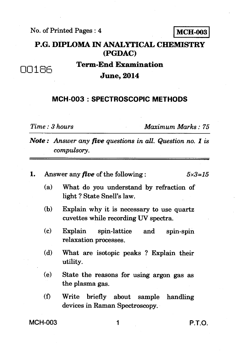No. of Printed Pages : 4 **MCH-003** 

## **P.G. DIPLOMA IN ANALYTICAL CHEMISTRY (PGDAC)**

**Term-End Examination June, 2014** 

## **MCH-003 : SPECTROSCOPIC METHODS**

00186

*Time : 3 hours Maximum Marks : 75* 

*Note : Answer any five questions in all. Question no. 1 is compulsory.* 

| ı.             | Answer any <i>five</i> of the following :<br>$5 \times 3 = 15$ |                                                                                   |        |
|----------------|----------------------------------------------------------------|-----------------------------------------------------------------------------------|--------|
|                | (a)                                                            | What do you understand by refraction of<br>light? State Snell's law.              |        |
|                | (b)                                                            | Explain why it is necessary to use quartz<br>cuvettes while recording UV spectra. |        |
|                | (c)                                                            | Explain<br>spin-lattice and<br>spin-spin<br>relaxation processes.                 |        |
|                | (d)                                                            | What are isotopic peaks? Explain their<br>utility.                                |        |
|                | (e)                                                            | State the reasons for using argon gas as<br>the plasma gas.                       |        |
|                | (f)                                                            | Write briefly about sample handling<br>devices in Raman Spectroscopy.             |        |
| <b>MCH-003</b> |                                                                |                                                                                   | P.T.O. |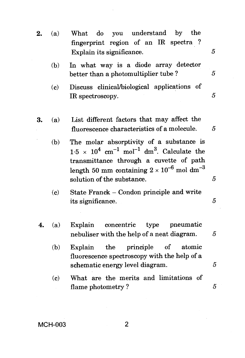- 2. (a) What do you understand by the fingerprint region of an IR spectra ? Explain its significance.  $\frac{5}{5}$ 
	- (b) In what way is a diode array detector better than a photomultiplier tube ?
	- (c) Discuss clinical/biological applications of IR spectroscopy.  $5$
- **3.** (a) List different factors that may affect the fluorescence characteristics of a molecule. 5
	- (b) The molar absorptivity of a substance is  $1.5 \times 10^4$  cm<sup>-1</sup> mol<sup>-1</sup> dm<sup>3</sup>. Calculate the transmittance through a cuvette of path length 50 mm containing  $2 \times 10^{-6}$  mol dm<sup>-3</sup> solution of the substance.  $\qquad \qquad 5$
	- (c) State Franck Condon principle and write its significance. 5
- **4.** (a) Explain concentric type pneumatic nebuliser with the help of a neat diagram.  $5$ 
	- (b) Explain the principle of atomic fluorescence spectroscopy with the help of a  $s$ chematic energy level diagram.  $5$
	- (c) What are the merits and limitations of flame photometry ? 5

 $\overline{5}$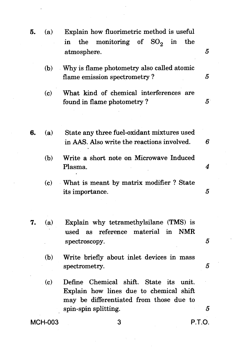| 5.             | (a) | Explain how fluorimetric method is useful<br>monitoring of $SO_2$ in the<br>the<br>in<br>atmosphere.                                                       | 5           |
|----------------|-----|------------------------------------------------------------------------------------------------------------------------------------------------------------|-------------|
|                | (b) | Why is flame photometry also called atomic<br>flame emission spectrometry?                                                                                 | 5           |
|                | (c) | What kind of chemical interferences are<br>found in flame photometry?                                                                                      | $5^{\circ}$ |
| 6.             | (a) | State any three fuel-oxidant mixtures used<br>in AAS. Also write the reactions involved.                                                                   | 6           |
|                | (b) | Write a short note on Microwave Induced<br>Plasma.                                                                                                         | 4           |
|                | (c) | What is meant by matrix modifier? State<br>its importance.                                                                                                 | 5           |
| 7.             | (a) | Explain why tetramethylsilane (TMS) is<br>reference<br>material<br>$\mathbf{in}$<br><b>NMR</b><br>used as<br>spectroscopy.                                 | 5           |
|                | (b) | Write briefly about inlet devices in mass<br>spectrometry.                                                                                                 | 5           |
|                | (c) | Define Chemical shift. State<br>its<br>unit.<br>Explain how lines due to chemical shift<br>may be differentiated from those due to<br>spin-spin splitting. | 5           |
| <b>MCH-003</b> |     | P.T.O.<br>3                                                                                                                                                |             |
|                |     |                                                                                                                                                            |             |

 $\sim 10^6$ 

 $\mathcal{F}_{\text{max}}$